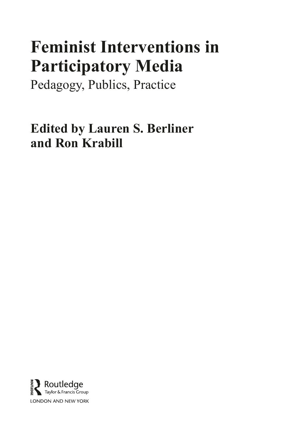# **Feminist Interventions in Participatory Media**

Pedagogy, Publics, Practice

**Edited by Lauren S. Berliner and Ron Krabill**

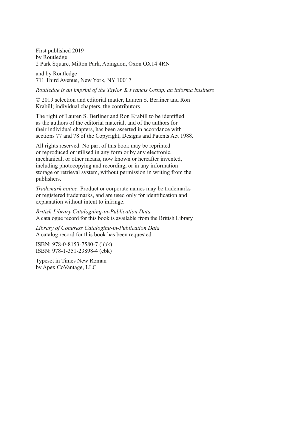First published 2019 by Routledge 2 Park Square, Milton Park, Abingdon, Oxon OX14 4RN

and by Routledge 711 Third Avenue, New York, NY 10017

*Routledge is an imprint of the Taylor & Francis Group, an informa business*

© 2019 selection and editorial matter, Lauren S. Berliner and Ron Krabill; individual chapters, the contributors

The right of Lauren S. Berliner and Ron Krabill to be identifed as the authors of the editorial material, and of the authors for their individual chapters, has been asserted in accordance with sections 77 and 78 of the Copyright, Designs and Patents Act 1988.

All rights reserved. No part of this book may be reprinted or reproduced or utilised in any form or by any electronic, mechanical, or other means, now known or hereafter invented, including photocopying and recording, or in any information storage or retrieval system, without permission in writing from the publishers.

*Trademark notice*: Product or corporate names may be trademarks or registered trademarks, and are used only for identifcation and explanation without intent to infringe.

*British Library Cataloguing-in-Publication Data* A catalogue record for this book is available from the British Library

*Library of Congress Cataloging-in-Publication Data* A catalog record for this book has been requested

ISBN: 978-0-8153-7580-7 (hbk) ISBN: 978-1-351-23898-4 (ebk)

Typeset in Times New Roman by Apex CoVantage, LLC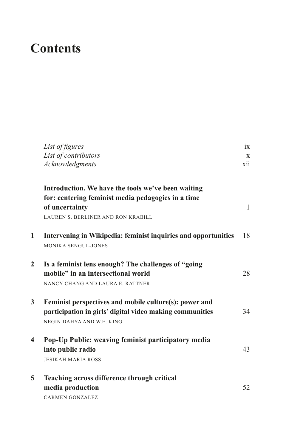## <span id="page-2-0"></span>**Contents**

|   | List of figures<br>List of contributors<br>Acknowledgments                                                                                                              | ix<br>X<br>xii |
|---|-------------------------------------------------------------------------------------------------------------------------------------------------------------------------|----------------|
|   | Introduction. We have the tools we've been waiting<br>for: centering feminist media pedagogies in a time<br>of uncertainty<br><b>LAUREN S. BERLINER AND RON KRABILL</b> | 1              |
| 1 | Intervening in Wikipedia: feminist inquiries and opportunities<br><b>MONIKA SENGUL-JONES</b>                                                                            | 18             |
| 2 | Is a feminist lens enough? The challenges of "going<br>mobile" in an intersectional world<br>NANCY CHANG AND LAURA E. RATTNER                                           | 28             |
| 3 | Feminist perspectives and mobile culture(s): power and<br>participation in girls' digital video making communities<br>NEGIN DAHYA AND W.E. KING                         | 34             |
| 4 | Pop-Up Public: weaving feminist participatory media<br>into public radio<br><b>JESIKAH MARIA ROSS</b>                                                                   | 43             |
| 5 | Teaching across difference through critical<br>media production<br><b>CARMEN GONZALEZ</b>                                                                               | 52             |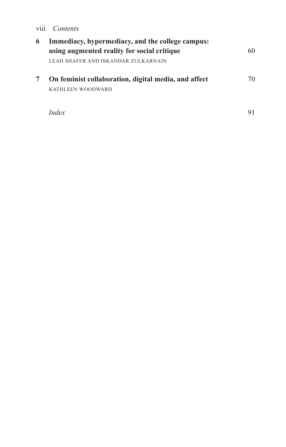#### <span id="page-3-0"></span>viii *Contents*

| 6 | Immediacy, hypermediacy, and the college campus:<br>using augmented reality for social critique | 60 |
|---|-------------------------------------------------------------------------------------------------|----|
|   | LEAH SHAFER AND ISKANDAR ZULKARNAIN                                                             |    |
|   | On feminist collaboration, digital media, and affect<br>KATHLEEN WOODWARD                       | 70 |
|   |                                                                                                 |    |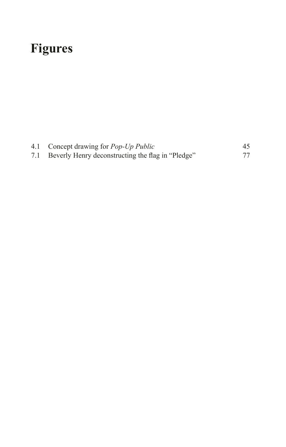# <span id="page-4-0"></span>**[Figures](#page-2-0)**

|     | 4.1 Concept drawing for <i>Pop-Up Public</i>      | 45 |
|-----|---------------------------------------------------|----|
| 7.1 | Beverly Henry deconstructing the flag in "Pledge" | 77 |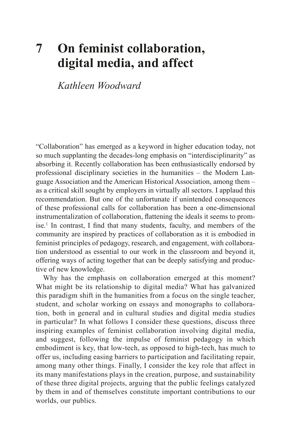### <span id="page-5-0"></span>**[7 On feminist collaboration,](#page-3-0)  [digital media, and affect](#page-3-0)**

*Kathleen Woodward*

"Collaboration" has emerged as a keyword in higher education today, not so much supplanting the decades-long emphasis on "interdisciplinarity" as absorbing it. Recently collaboration has been enthusiastically endorsed by professional disciplinary societies in the humanities – the Modern Language Association and the American Historical Association, among them – as a critical skill sought by employers in virtually all sectors. I applaud this recommendation. But one of the unfortunate if unintended consequences of these professional calls for collaboration has been a one-dimensional instrumentalization of collaboration, fattening the ideals it seems to promise.[1](#page-21-0) In contrast, I fnd that many students, faculty, and members of the community are inspired by practices of collaboration as it is embodied in feminist principles of pedagogy, research, and engagement, with collaboration understood as essential to our work in the classroom and beyond it, offering ways of acting together that can be deeply satisfying and productive of new knowledge.

Why has the emphasis on collaboration emerged at this moment? What might be its relationship to digital media? What has galvanized this paradigm shift in the humanities from a focus on the single teacher, student, and scholar working on essays and monographs to collaboration, both in general and in cultural studies and digital media studies in particular? In what follows I consider these questions, discuss three inspiring examples of feminist collaboration involving digital media, and suggest, following the impulse of feminist pedagogy in which embodiment is key, that low-tech, as opposed to high-tech, has much to offer us, including easing barriers to participation and facilitating repair, among many other things. Finally, I consider the key role that affect in its many manifestations plays in the creation, purpose, and sustainability of these three digital projects, arguing that the public feelings catalyzed by them in and of themselves constitute important contributions to our worlds, our publics.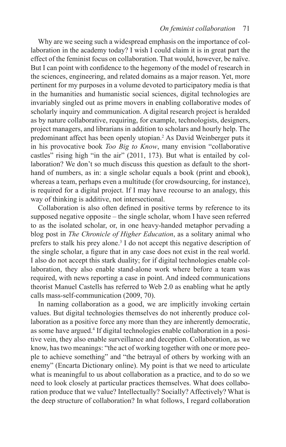<span id="page-6-0"></span>Why are we seeing such a widespread emphasis on the importance of collaboration in the academy today? I wish I could claim it is in great part the effect of the feminist focus on collaboration. That would, however, be naïve. But I can point with confdence to the hegemony of the model of research in the sciences, engineering, and related domains as a major reason. Yet, more pertinent for my purposes in a volume devoted to participatory media is that in the humanities and humanistic social sciences, digital technologies are invariably singled out as prime movers in enabling collaborative modes of scholarly inquiry and communication. A digital research project is heralded as by nature collaborative, requiring, for example, technologists, designers, project managers, and librarians in addition to scholars and hourly help. The predominant affect has been openly utopian.[2](#page-21-0) As David Weinberger puts it in his provocative book *Too Big to Know*, many envision "collaborative castles" rising high "in the air" (2011, 173). But what is entailed by collaboration? We don't so much discuss this question as default to the shorthand of numbers, as in: a single scholar equals a book (print and ebook), whereas a team, perhaps even a multitude (for crowdsourcing, for instance), is required for a digital project. If I may have recourse to an analogy, this way of thinking is additive, not intersectional.

Collaboration is also often defned in positive terms by reference to its supposed negative opposite – the single scholar, whom I have seen referred to as the isolated scholar, or, in one heavy-handed metaphor pervading a blog post in *The Chronicle of Higher Education*, as a solitary animal who prefers to stalk his prey alone.<sup>[3](#page-21-0)</sup> I do not accept this negative description of the single scholar, a fgure that in any case does not exist in the real world. I also do not accept this stark duality; for if digital technologies enable collaboration, they also enable stand-alone work where before a team was required, with news reporting a case in point. And indeed communications theorist Manuel Castells has referred to Web 2.0 as enabling what he aptly calls mass-self-communication (2009, 70).

In naming collaboration as a good, we are implicitly invoking certain values. But digital technologies themselves do not inherently produce collaboration as a positive force any more than they are inherently democratic, as some have argued.[4](#page-21-0) If digital technologies enable collaboration in a positive vein, they also enable surveillance and deception. Collaboration, as we know, has two meanings: "the act of working together with one or more people to achieve something" and "the betrayal of others by working with an enemy" (Encarta Dictionary online). My point is that we need to articulate what is meaningful to us about collaboration as a practice, and to do so we need to look closely at particular practices themselves. What does collaboration produce that we value? Intellectually? Socially? Affectively? What is the deep structure of collaboration? In what follows, I regard collaboration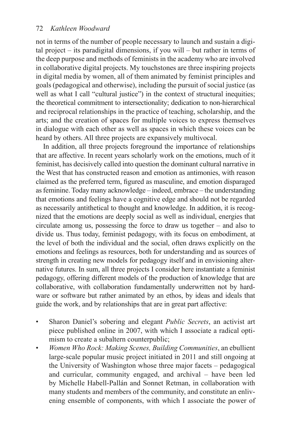not in terms of the number of people necessary to launch and sustain a digital project – its paradigital dimensions, if you will – but rather in terms of the deep purpose and methods of feminists in the academy who are involved in collaborative digital projects. My touchstones are three inspiring projects in digital media by women, all of them animated by feminist principles and goals (pedagogical and otherwise), including the pursuit of social justice (as well as what I call "cultural justice") in the context of structural inequities; the theoretical commitment to intersectionality; dedication to non-hierarchical and reciprocal relationships in the practice of teaching, scholarship, and the arts; and the creation of spaces for multiple voices to express themselves in dialogue with each other as well as spaces in which these voices can be heard by others. All three projects are expansively multivocal.

In addition, all three projects foreground the importance of relationships that are affective. In recent years scholarly work on the emotions, much of it feminist, has decisively called into question the dominant cultural narrative in the West that has constructed reason and emotion as antimonies, with reason claimed as the preferred term, fgured as masculine, and emotion disparaged as feminine. Today many acknowledge – indeed, embrace – the understanding that emotions and feelings have a cognitive edge and should not be regarded as necessarily antithetical to thought and knowledge. In addition, it is recognized that the emotions are deeply social as well as individual, energies that circulate among us, possessing the force to draw us together – and also to divide us. Thus today, feminist pedagogy, with its focus on embodiment, at the level of both the individual and the social, often draws explicitly on the emotions and feelings as resources, both for understanding and as sources of strength in creating new models for pedagogy itself and in envisioning alternative futures. In sum, all three projects I consider here instantiate a feminist pedagogy, offering different models of the production of knowledge that are collaborative, with collaboration fundamentally underwritten not by hardware or software but rather animated by an ethos, by ideas and ideals that guide the work, and by relationships that are in great part affective:

- Sharon Daniel's sobering and elegant *Public Secrets*, an activist art piece published online in 2007, with which I associate a radical optimism to create a subaltern counterpublic;
- *Women Who Rock: Making Scenes, Building Communities*, an ebullient large-scale popular music project initiated in 2011 and still ongoing at the University of Washington whose three major facets – pedagogical and curricular, community engaged, and archival – have been led by Michelle Habell-Pallán and Sonnet Retman, in collaboration with many students and members of the community, and constitute an enlivening ensemble of components, with which I associate the power of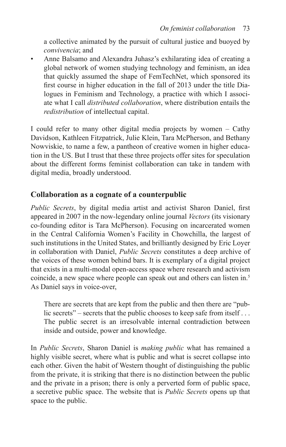<span id="page-8-0"></span>a collective animated by the pursuit of cultural justice and buoyed by *convivencia*; and

• Anne Balsamo and Alexandra Juhasz's exhilarating idea of creating a global network of women studying technology and feminism, an idea that quickly assumed the shape of FemTechNet, which sponsored its frst course in higher education in the fall of 2013 under the title Dialogues in Feminism and Technology, a practice with which I associate what I call *distributed collaboration*, where distribution entails the *redistribution* of intellectual capital.

I could refer to many other digital media projects by women – Cathy Davidson, Kathleen Fitzpatrick, Julie Klein, Tara McPherson, and Bethany Nowviskie, to name a few, a pantheon of creative women in higher education in the US. But I trust that these three projects offer sites for speculation about the different forms feminist collaboration can take in tandem with digital media, broadly understood.

#### **Collaboration as a cognate of a counterpublic**

*Public Secrets*, by digital media artist and activist Sharon Daniel, frst appeared in 2007 in the now-legendary online journal *Vectors* (its visionary co-founding editor is Tara McPherson). Focusing on incarcerated women in the Central California Women's Facility in Chowchilla, the largest of such institutions in the United States, and brilliantly designed by Eric Loyer in collaboration with Daniel, *Public Secrets* constitutes a deep archive of the voices of these women behind bars. It is exemplary of a digital project that exists in a multi-modal open-access space where research and activism coincide, a new space where people can speak out and others can listen in.<sup>[5](#page-21-0)</sup> As Daniel says in voice-over,

There are secrets that are kept from the public and then there are "public secrets" – secrets that the public chooses to keep safe from itself... The public secret is an irresolvable internal contradiction between inside and outside, power and knowledge.

In *Public Secrets*, Sharon Daniel is *making public* what has remained a highly visible secret, where what is public and what is secret collapse into each other. Given the habit of Western thought of distinguishing the public from the private, it is striking that there is no distinction between the public and the private in a prison; there is only a perverted form of public space, a secretive public space. The website that is *Public Secrets* opens up that space to the public.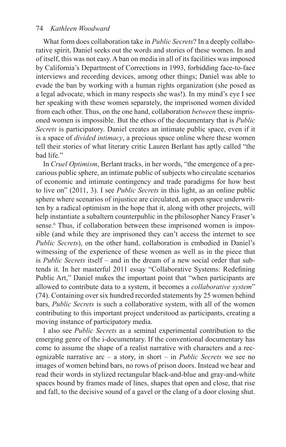#### <span id="page-9-0"></span>74 *Kathleen Woodward*

What form does collaboration take in *Public Secrets*? In a deeply collaborative spirit, Daniel seeks out the words and stories of these women. In and of itself, this was not easy. A ban on media in all of its facilities was imposed by California's Department of Corrections in 1993, forbidding face-to-face interviews and recording devices, among other things; Daniel was able to evade the ban by working with a human rights organization (she posed as a legal advocate, which in many respects she was!). In my mind's eye I see her speaking with these women separately, the imprisoned women divided from each other. Thus, on the one hand, collaboration *between* these imprisoned women is impossible. But the ethos of the documentary that is *Public Secrets* is participatory. Daniel creates an intimate public space, even if it is a space of *divided intimacy*, a precious space online where these women tell their stories of what literary critic Lauren Berlant has aptly called "the bad life."

In *Cruel Optimism*, Berlant tracks, in her words, "the emergence of a precarious public sphere, an intimate public of subjects who circulate scenarios of economic and intimate contingency and trade paradigms for how best to live on" (2011, 3). I see *Public Secrets* in this light, as an online public sphere where scenarios of injustice are circulated, an open space underwritten by a radical optimism in the hope that it, along with other projects, will help instantiate a subaltern counterpublic in the philosopher Nancy Fraser's sense.<sup>[6](#page-21-0)</sup> Thus, if collaboration between these imprisoned women is impossible (and while they are imprisoned they can't access the internet to see *Public Secrets*), on the other hand, collaboration is embodied in Daniel's witnessing of the experience of these women as well as in the piece that is *Public Secrets* itself – and in the dream of a new social order that subtends it. In her masterful 2011 essay "Collaborative Systems: Redefning Public Art," Daniel makes the important point that "when participants are allowed to contribute data to a system, it becomes a *collaborative system*" (74). Containing over six hundred recorded statements by 25 women behind bars, *Public Secrets* is such a collaborative system, with all of the women contributing to this important project understood as participants, creating a moving instance of participatory media.

I also see *Public Secrets* as a seminal experimental contribution to the emerging genre of the i-documentary. If the conventional documentary has come to assume the shape of a realist narrative with characters and a recognizable narrative arc – a story, in short – in *Public Secrets* we see no images of women behind bars, no rows of prison doors. Instead we hear and read their words in stylized rectangular black-and-blue and gray-and-white spaces bound by frames made of lines, shapes that open and close, that rise and fall, to the decisive sound of a gavel or the clang of a door closing shut.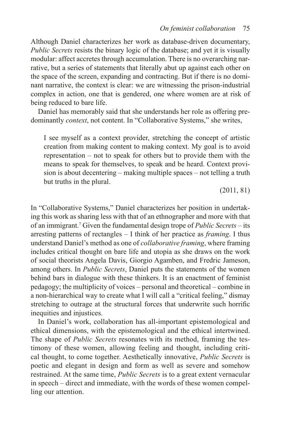<span id="page-10-0"></span>Although Daniel characterizes her work as database-driven documentary, *Public Secrets* resists the binary logic of the database; and yet it is visually modular: affect accretes through accumulation. There is no overarching narrative, but a series of statements that literally abut up against each other on the space of the screen, expanding and contracting. But if there is no dominant narrative, the context is clear: we are witnessing the prison-industrial complex in action, one that is gendered, one where women are at risk of being reduced to bare life.

Daniel has memorably said that she understands her role as offering predominantly *context*, not content. In "Collaborative Systems," she writes,

I see myself as a context provider, stretching the concept of artistic creation from making content to making context. My goal is to avoid representation – not to speak for others but to provide them with the means to speak for themselves, to speak and be heard. Context provision is about decentering – making multiple spaces – not telling a truth but truths in the plural.

(2011, 81)

In "Collaborative Systems," Daniel characterizes her position in undertaking this work as sharing less with that of an ethnographer and more with that of an immigrant[.7](#page-21-0) Given the fundamental design trope of *Public Secrets* – its arresting patterns of rectangles – I think of her practice as *framing*. I thus understand Daniel's method as one of *collaborative framing*, where framing includes critical thought on bare life and utopia as she draws on the work of social theorists Angela Davis, Giorgio Agamben, and Fredric Jameson, among others. In *Public Secrets*, Daniel puts the statements of the women behind bars in dialogue with these thinkers. It is an enactment of feminist pedagogy; the multiplicity of voices – personal and theoretical – combine in a non-hierarchical way to create what I will call a "critical feeling," dismay stretching to outrage at the structural forces that underwrite such horrifc inequities and injustices.

In Daniel's work, collaboration has all-important epistemological and ethical dimensions, with the epistemological and the ethical intertwined. The shape of *Public Secrets* resonates with its method, framing the testimony of these women, allowing feeling and thought, including critical thought, to come together. Aesthetically innovative, *Public Secrets* is poetic and elegant in design and form as well as severe and somehow restrained. At the same time, *Public Secrets* is to a great extent vernacular in speech – direct and immediate, with the words of these women compelling our attention.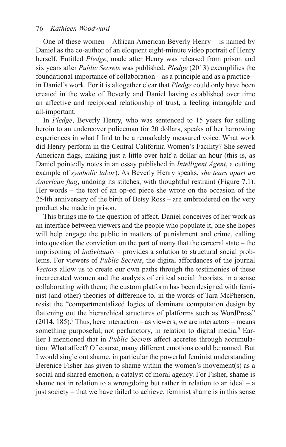<span id="page-11-0"></span>One of these women – African American Beverly Henry – is named by Daniel as the co-author of an eloquent eight-minute video portrait of Henry herself. Entitled *Pledge*, made after Henry was released from prison and six years after *Public Secrets* was published, *Pledge* (2013) exemplifes the foundational importance of collaboration – as a principle and as a practice – in Daniel's work. For it is altogether clear that *Pledge* could only have been created in the wake of Beverly and Daniel having established over time an affective and reciprocal relationship of trust, a feeling intangible and all-important.

In *Pledge*, Beverly Henry, who was sentenced to 15 years for selling heroin to an undercover policeman for 20 dollars, speaks of her harrowing experiences in what I fnd to be a remarkably measured voice. What work did Henry perform in the Central California Women's Facility? She sewed American fags, making just a little over half a dollar an hour (this is, as Daniel pointedly notes in an essay published in *Intelligent Agent*, a cutting example of *symbolic labor*). As Beverly Henry speaks, *she tears apart an American flag*, undoing its stitches, with thoughtful restraint [\(Figure](#page-12-0) 7.1). Her words – the text of an op-ed piece she wrote on the occasion of the 254th anniversary of the birth of Betsy Ross – are embroidered on the very product she made in prison.

This brings me to the question of affect. Daniel conceives of her work as an interface between viewers and the people who populate it, one she hopes will help engage the public in matters of punishment and crime, calling into question the conviction on the part of many that the carceral state – the imprisoning of *individuals* – provides a solution to structural social problems. For viewers of *Public Secrets*, the digital affordances of the journal *Vectors* allow us to create our own paths through the testimonies of these incarcerated women and the analysis of critical social theorists, in a sense collaborating with them; the custom platform has been designed with feminist (and other) theories of difference to, in the words of Tara McPherson, resist the "compartmentalized logics of dominant computation design by fattening out the hierarchical structures of platforms such as WordPress"  $(2014, 185)$  $(2014, 185)$  $(2014, 185)$ .<sup>8</sup> Thus, here interaction – as viewers, we are interactors – means something purposeful, not perfunctory, in relation to digital media.<sup>9</sup> Earlier I mentioned that in *Public Secrets* affect accretes through accumulation. What affect? Of course, many different emotions could be named. But I would single out shame, in particular the powerful feminist understanding Berenice Fisher has given to shame within the women's movement(s) as a social and shared emotion, a catalyst of moral agency. For Fisher, shame is shame not in relation to a wrongdoing but rather in relation to an ideal – a just society – that we have failed to achieve; feminist shame is in this sense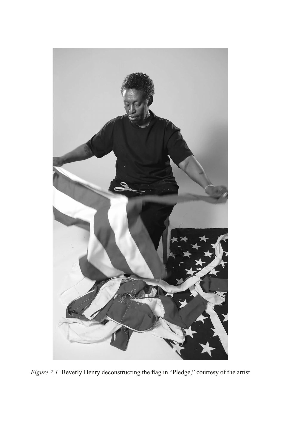<span id="page-12-0"></span>

*Figure 7.1* [Beverly Henry deconstructing the fag in "Pledge," courtesy of the artist](#page-4-0)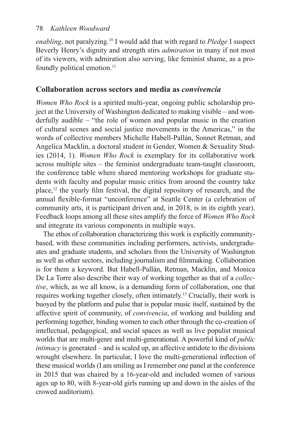#### <span id="page-13-0"></span>78 *Kathleen Woodward*

*enabling*, not paralyzing.[10](#page-22-0) I would add that with regard to *Pledge* I suspect Beverly Henry's dignity and strength stirs *admiration* in many if not most of its viewers, with admiration also serving, like feminist shame, as a pro-foundly political emotion.<sup>[11](#page-22-0)</sup>

#### **Collaboration across sectors and media as** *convivencia*

*Women Who Rock* is a spirited multi-year, ongoing public scholarship project at the University of Washington dedicated to making visible – and wonderfully audible – "the role of women and popular music in the creation of cultural scenes and social justice movements in the Americas," in the words of collective members Michelle Habell-Pallán, Sonnet Retman, and Angelica Macklin, a doctoral student in Gender, Women & Sexuality Studies (2014, 1). *Women Who Rock* is exemplary for its collaborative work across multiple sites – the feminist undergraduate team-taught classroom, the conference table where shared mentoring workshops for graduate students with faculty and popular music critics from around the country take place[,12](#page-22-0) the yearly flm festival, the digital repository of research, and the annual fexible-format "unconference" at Seattle Center (a celebration of community arts, it is participant driven and, in 2018, is in its eighth year). Feedback loops among all these sites amplify the force of *Women Who Rock* and integrate its various components in multiple ways.

The ethos of collaboration characterizing this work is explicitly communitybased, with these communities including performers, activists, undergraduates and graduate students, and scholars from the University of Washington as well as other sectors, including journalism and flmmaking. Collaboration is for them a keyword. But Habell-Pallán, Retman, Macklin, and Monica De La Torre also describe their way of working together as that of a *collective*, which, as we all know, is a demanding form of collaboration, one that requires working together closely, often intimately.[13](#page-22-0) Crucially, their work is buoyed by the platform and pulse that is popular music itself, sustained by the affective spirit of community, of *convivencia*, of working and building and performing together, binding women to each other through the co-creation of intellectual, pedagogical, and social spaces as well as live populist musical worlds that are multi-genre and multi-generational. A powerful kind of *public intimacy* is generated – and is scaled up, an affective antidote to the divisions wrought elsewhere. In particular, I love the multi-generational infection of these musical worlds (I am smiling as I remember one panel at the conference in 2015 that was chaired by a 16-year-old and included women of various ages up to 80, with 8-year-old girls running up and down in the aisles of the crowed auditorium).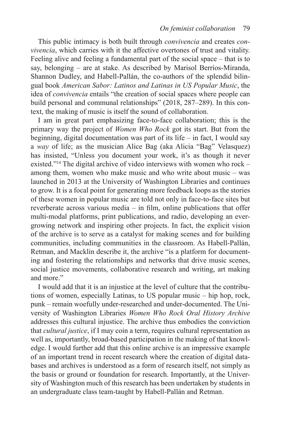<span id="page-14-0"></span>This public intimacy is both built through *convivencia* and creates *convivencia*, which carries with it the affective overtones of trust and vitality. Feeling alive and feeling a fundamental part of the social space – that is to say, belonging – are at stake. As described by Marisol Berríos-Miranda, Shannon Dudley, and Habell-Pallán, the co-authors of the splendid bilingual book *American Sabor: Latinos and Latinas in US Popular Music*, the idea of *convivencia* entails "the creation of social spaces where people can build personal and communal relationships" (2018, 287–289). In this context, the making of music is itself the sound of collaboration.

I am in great part emphasizing face-to-face collaboration; this is the primary way the project of *Women Who Rock* got its start. But from the beginning, digital documentation was part of its life – in fact, I would say a *way* of life; as the musician Alice Bag (aka Alicia "Bag" Velasquez) has insisted, "Unless you document your work, it's as though it never existed."[14](#page-22-0) The digital archive of video interviews with women who rock – among them, women who make music and who write about music – was launched in 2013 at the University of Washington Libraries and continues to grow. It is a focal point for generating more feedback loops as the stories of these women in popular music are told not only in face-to-face sites but reverberate across various media – in flm, online publications that offer multi-modal platforms, print publications, and radio, developing an evergrowing network and inspiring other projects. In fact, the explicit vision of the archive is to serve as a catalyst for making scenes and for building communities, including communities in the classroom. As Habell-Pallán, Retman, and Macklin describe it, the archive "is a platform for documenting and fostering the relationships and networks that drive music scenes, social justice movements, collaborative research and writing, art making and more."

I would add that it is an injustice at the level of culture that the contributions of women, especially Latinas, to US popular music – hip hop, rock, punk – remain woefully under-researched and under-documented. The University of Washington Libraries *Women Who Rock Oral History Archive* addresses this cultural injustice. The archive thus embodies the conviction that *cultural justice*, if I may coin a term, requires cultural representation as well as, importantly, broad-based participation in the making of that knowledge. I would further add that this online archive is an impressive example of an important trend in recent research where the creation of digital databases and archives is understood as a form of research itself, not simply as the basis or ground or foundation for research. Importantly, at the University of Washington much of this research has been undertaken by students in an undergraduate class team-taught by Habell-Pallán and Retman.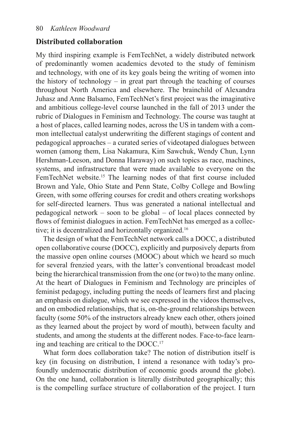#### <span id="page-15-0"></span>**Distributed collaboration**

My third inspiring example is FemTechNet, a widely distributed network of predominantly women academics devoted to the study of feminism and technology, with one of its key goals being the writing of women into the history of technology – in great part through the teaching of courses throughout North America and elsewhere. The brainchild of Alexandra Juhasz and Anne Balsamo, FemTechNet's frst project was the imaginative and ambitious college-level course launched in the fall of 2013 under the rubric of Dialogues in Feminism and Technology. The course was taught at a host of places, called learning nodes, across the US in tandem with a common intellectual catalyst underwriting the different stagings of content and pedagogical approaches – a curated series of videotaped dialogues between women (among them, Lisa Nakamura, Kim Sawchuk, Wendy Chun, Lynn Hershman-Leeson, and Donna Haraway) on such topics as race, machines, systems, and infrastructure that were made available to everyone on the FemTechNet website.<sup>15</sup> The learning nodes of that first course included Brown and Yale, Ohio State and Penn State, Colby College and Bowling Green, with some offering courses for credit and others creating workshops for self-directed learners. Thus was generated a national intellectual and pedagogical network – soon to be global – of local places connected by fows of feminist dialogues in action. FemTechNet has emerged as a collec-tive; it is decentralized and horizontally organized.<sup>[16](#page-22-0)</sup>

The design of what the FemTechNet network calls a DOCC, a distributed open collaborative course (DOCC), explicitly and purposively departs from the massive open online courses (MOOC) about which we heard so much for several frenzied years, with the latter's conventional broadcast model being the hierarchical transmission from the one (or two) to the many online. At the heart of Dialogues in Feminism and Technology are principles of feminist pedagogy, including putting the needs of learners frst and placing an emphasis on dialogue, which we see expressed in the videos themselves, and on embodied relationships, that is, on-the-ground relationships between faculty (some 50% of the instructors already knew each other, others joined as they learned about the project by word of mouth), between faculty and students, and among the students at the different nodes. Face-to-face learning and teaching are critical to the DOCC.[17](#page-22-0)

What form does collaboration take? The notion of distribution itself is key (in focusing on distribution, I intend a resonance with today's profoundly undemocratic distribution of economic goods around the globe). On the one hand, collaboration is literally distributed geographically; this is the compelling surface structure of collaboration of the project. I turn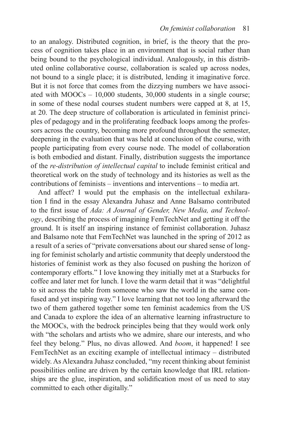to an analogy. Distributed cognition, in brief, is the theory that the process of cognition takes place in an environment that is social rather than being bound to the psychological individual. Analogously, in this distributed online collaborative course, collaboration is scaled up across nodes, not bound to a single place; it is distributed, lending it imaginative force. But it is not force that comes from the dizzying numbers we have associated with MOOCs – 10,000 students, 30,000 students in a single course; in some of these nodal courses student numbers were capped at 8, at 15, at 20. The deep structure of collaboration is articulated in feminist principles of pedagogy and in the proliferating feedback loops among the professors across the country, becoming more profound throughout the semester, deepening in the evaluation that was held at conclusion of the course, with people participating from every course node. The model of collaboration is both embodied and distant. Finally, distribution suggests the importance of the *re-distribution of intellectual capital* to include feminist critical and theoretical work on the study of technology and its histories as well as the contributions of feminists – inventions and interventions – to media art.

And affect? I would put the emphasis on the intellectual exhilaration I fnd in the essay Alexandra Juhasz and Anne Balsamo contributed to the frst issue of *Ada: A Journal of Gender, New Media, and Technology*, describing the process of imagining FemTechNet and getting it off the ground. It is itself an inspiring instance of feminist collaboration. Juhasz and Balsamo note that FemTechNet was launched in the spring of 2012 as a result of a series of "private conversations about our shared sense of longing for feminist scholarly and artistic community that deeply understood the histories of feminist work as they also focused on pushing the horizon of contemporary efforts." I love knowing they initially met at a Starbucks for coffee and later met for lunch. I love the warm detail that it was "delightful to sit across the table from someone who saw the world in the same confused and yet inspiring way." I love learning that not too long afterward the two of them gathered together some ten feminist academics from the US and Canada to explore the idea of an alternative learning infrastructure to the MOOCs, with the bedrock principles being that they would work only with "the scholars and artists who we admire, share our interests, and who feel they belong." Plus, no divas allowed. And *boom*, it happened! I see FemTechNet as an exciting example of intellectual intimacy – distributed widely. As Alexandra Juhasz concluded, "my recent thinking about feminist possibilities online are driven by the certain knowledge that IRL relationships are the glue, inspiration, and solidifcation most of us need to stay committed to each other digitally."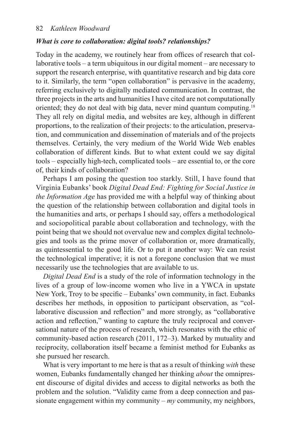#### <span id="page-17-0"></span>*What is core to collaboration: digital tools? relationships?*

Today in the academy, we routinely hear from offices of research that collaborative tools – a term ubiquitous in our digital moment – are necessary to support the research enterprise, with quantitative research and big data core to it. Similarly, the term "open collaboration" is pervasive in the academy, referring exclusively to digitally mediated communication. In contrast, the three projects in the arts and humanities I have cited are not computationally oriented; they do not deal with big data, never mind quantum computing[.18](#page-22-0) They all rely on digital media, and websites are key, although in different proportions, to the realization of their projects: to the articulation, preservation, and communication and dissemination of materials and of the projects themselves. Certainly, the very medium of the World Wide Web enables collaboration of different kinds. But to what extent could we say digital tools – especially high-tech, complicated tools – are essential to, or the core of, their kinds of collaboration?

Perhaps I am posing the question too starkly. Still, I have found that Virginia Eubanks' book *Digital Dead End: Fighting for Social Justice in the Information Age* has provided me with a helpful way of thinking about the question of the relationship between collaboration and digital tools in the humanities and arts, or perhaps I should say, offers a methodological and sociopolitical parable about collaboration and technology, with the point being that we should not overvalue new and complex digital technologies and tools as the prime mover of collaboration or, more dramatically, as quintessential to the good life. Or to put it another way: We can resist the technological imperative; it is not a foregone conclusion that we must necessarily use the technologies that are available to us.

*Digital Dead End* is a study of the role of information technology in the lives of a group of low-income women who live in a YWCA in upstate New York, Troy to be specifc – Eubanks' own community, in fact. Eubanks describes her methods, in opposition to participant observation, as "collaborative discussion and refection" and more strongly, as "collaborative action and refection," wanting to capture the truly reciprocal and conversational nature of the process of research, which resonates with the ethic of community-based action research (2011, 172–3). Marked by mutuality and reciprocity, collaboration itself became a feminist method for Eubanks as she pursued her research.

What is very important to me here is that as a result of thinking *with* these women, Eubanks fundamentally changed her thinking *about* the omnipresent discourse of digital divides and access to digital networks as both the problem and the solution. "Validity came from a deep connection and passionate engagement within my community – *my* community, my neighbors,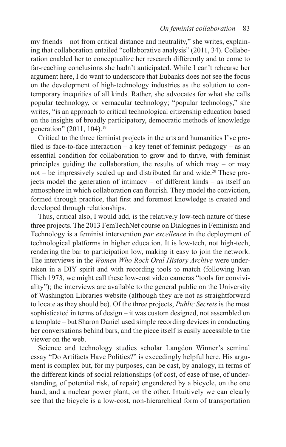<span id="page-18-0"></span>my friends – not from critical distance and neutrality," she writes, explaining that collaboration entailed "collaborative analysis" (2011, 34). Collaboration enabled her to conceptualize her research differently and to come to far-reaching conclusions she hadn't anticipated. While I can't rehearse her argument here, I do want to underscore that Eubanks does not see the focus on the development of high-technology industries as the solution to contemporary inequities of all kinds. Rather, she advocates for what she calls popular technology, or vernacular technology; "popular technology," she writes, "is an approach to critical technological citizenship education based on the insights of broadly participatory, democratic methods of knowledge generation" (2011, 104).<sup>[19](#page-22-0)</sup>

Critical to the three feminist projects in the arts and humanities I've profiled is face-to-face interaction – a key tenet of feminist pedagogy – as an essential condition for collaboration to grow and to thrive, with feminist principles guiding the collaboration, the results of which may – or may not – be impressively scaled up and distributed far and wide.<sup>20</sup> These projects model the generation of intimacy – of different kinds – as itself an atmosphere in which collaboration can fourish. They model the conviction, formed through practice, that frst and foremost knowledge is created and developed through relationships.

Thus, critical also, I would add, is the relatively low-tech nature of these three projects. The 2013 FemTechNet course on Dialogues in Feminism and Technology is a feminist intervention *par excellence* in the deployment of technological platforms in higher education. It is low-tech, not high-tech, rendering the bar to participation low, making it easy to join the network. The interviews in the *Women Who Rock Oral History Archive* were undertaken in a DIY spirit and with recording tools to match (following Ivan Illich 1973, we might call these low-cost video cameras "tools for conviviality"); the interviews are available to the general public on the University of Washington Libraries website (although they are not as straightforward to locate as they should be). Of the three projects, *Public Secrets* is the most sophisticated in terms of design – it was custom designed, not assembled on a template – but Sharon Daniel used simple recording devices in conducting her conversations behind bars, and the piece itself is easily accessible to the viewer on the web.

Science and technology studies scholar Langdon Winner's seminal essay "Do Artifacts Have Politics?" is exceedingly helpful here. His argument is complex but, for my purposes, can be cast, by analogy, in terms of the different kinds of social relationships (of cost, of ease of use, of understanding, of potential risk, of repair) engendered by a bicycle, on the one hand, and a nuclear power plant, on the other. Intuitively we can clearly see that the bicycle is a low-cost, non-hierarchical form of transportation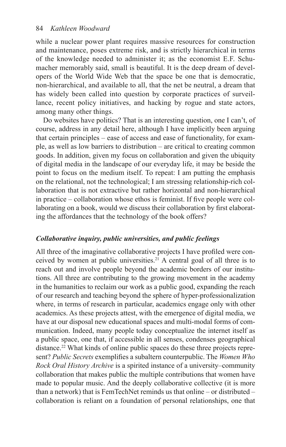<span id="page-19-0"></span>while a nuclear power plant requires massive resources for construction and maintenance, poses extreme risk, and is strictly hierarchical in terms of the knowledge needed to administer it; as the economist E.F. Schumacher memorably said, small is beautiful. It is the deep dream of developers of the World Wide Web that the space be one that is democratic, non-hierarchical, and available to all, that the net be neutral, a dream that has widely been called into question by corporate practices of surveillance, recent policy initiatives, and hacking by rogue and state actors, among many other things.

Do websites have politics? That is an interesting question, one I can't, of course, address in any detail here, although I have implicitly been arguing that certain principles – ease of access and ease of functionality, for example, as well as low barriers to distribution – are critical to creating common goods. In addition, given my focus on collaboration and given the ubiquity of digital media in the landscape of our everyday life, it may be beside the point to focus on the medium itself. To repeat: I am putting the emphasis on the relational, not the technological; I am stressing relationship-rich collaboration that is not extractive but rather horizontal and non-hierarchical in practice – collaboration whose ethos is feminist. If fve people were collaborating on a book, would we discuss their collaboration by first elaborating the affordances that the technology of the book offers?

#### *Collaborative inquiry, public universities, and public feelings*

All three of the imaginative collaborative projects I have profled were conceived by women at public universities.<sup>21</sup> A central goal of all three is to reach out and involve people beyond the academic borders of our institutions. All three are contributing to the growing movement in the academy in the humanities to reclaim our work as a public good, expanding the reach of our research and teaching beyond the sphere of hyper-professionalization where, in terms of research in particular, academics engage only with other academics. As these projects attest, with the emergence of digital media, we have at our disposal new educational spaces and multi-modal forms of communication. Indeed, many people today conceptualize the internet itself as a public space, one that, if accessible in all senses, condenses geographical distance.[22](#page-23-0) What kinds of online public spaces do these three projects represent? *Public Secrets* exemplifes a subaltern counterpublic. The *Women Who Rock Oral History Archive* is a spirited instance of a university–community collaboration that makes public the multiple contributions that women have made to popular music. And the deeply collaborative collective (it is more than a network) that is FemTechNet reminds us that online – or distributed – collaboration is reliant on a foundation of personal relationships, one that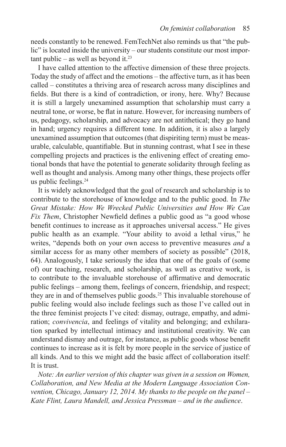<span id="page-20-0"></span>needs constantly to be renewed. FemTechNet also reminds us that "the public" is located inside the university – our students constitute our most important public – as well as beyond it. $23$ 

I have called attention to the affective dimension of these three projects. Today the study of affect and the emotions – the affective turn, as it has been called – constitutes a thriving area of research across many disciplines and felds. But there is a kind of contradiction, or irony, here. Why? Because it is still a largely unexamined assumption that scholarship must carry a neutral tone, or worse, be fat in nature. However, for increasing numbers of us, pedagogy, scholarship, and advocacy are not antithetical; they go hand in hand; urgency requires a different tone. In addition, it is also a largely unexamined assumption that outcomes (that dispiriting term) must be measurable, calculable, quantifable. But in stunning contrast, what I see in these compelling projects and practices is the enlivening effect of creating emotional bonds that have the potential to generate solidarity through feeling as well as thought and analysis. Among many other things, these projects offer us public feelings.<sup>[24](#page-23-0)</sup>

It is widely acknowledged that the goal of research and scholarship is to contribute to the storehouse of knowledge and to the public good. In *The Great Mistake: How We Wrecked Public Universities and How We Can Fix Them*, Christopher Newfield defines a public good as "a good whose beneft continues to increase as it approaches universal access." He gives public health as an example. "Your ability to avoid a lethal virus," he writes, "depends both on your own access to preventive measures *and* a similar access for as many other members of society as possible" (2018, 64). Analogously, I take seriously the idea that one of the goals of (some of) our teaching, research, and scholarship, as well as creative work, is to contribute to the invaluable storehouse of affrmative and democratic public feelings – among them, feelings of concern, friendship, and respect; they are in and of themselves public goods.<sup>[25](#page-23-0)</sup> This invaluable storehouse of public feeling would also include feelings such as those I've called out in the three feminist projects I've cited: dismay, outrage, empathy, and admiration; *convivencia*, and feelings of vitality and belonging; and exhilaration sparked by intellectual intimacy and institutional creativity. We can understand dismay and outrage, for instance, as public goods whose beneft continues to increase as it is felt by more people in the service of justice of all kinds. And to this we might add the basic affect of collaboration itself: It is trust.

*Note: An earlier version of this chapter was given in a session on Women, Collaboration, and New Media at the Modern Language Association Convention, Chicago, January 12, 2014. My thanks to the people on the panel – Kate Flint, Laura Mandell, and Jessica Pressman – and in the audience*.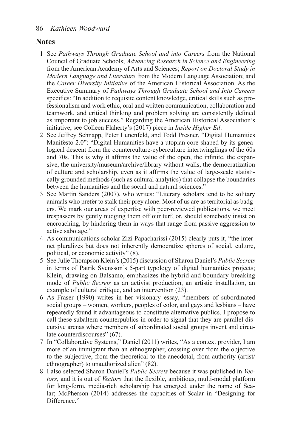#### <span id="page-21-0"></span>**Notes**

- [1](#page-5-0) See *Pathways Through Graduate School and into Careers* from the National Council of Graduate Schools; *Advancing Research in Science and Engineering* from the American Academy of Arts and Sciences; *Report on Doctoral Study in Modern Language and Literature* from the Modern Language Association; and the *Career Diversity Initiative* of the American Historical Association. As the Executive Summary of *Pathways Through Graduate School and Into Careers* specifes: "In addition to requisite content knowledge, critical skills such as professionalism and work ethic, oral and written communication, collaboration and teamwork, and critical thinking and problem solving are consistently defned as important to job success." Regarding the American Historical Association's initiative, see Colleen Flaherty's (2017) piece in *Inside Higher Ed*.
- [2](#page-6-0) See Jeffrey Schnapp, Peter Lunenfeld, and Todd Presner, "Digital Humanities Manifesto 2.0": "Digital Humanities have a utopian core shaped by its genealogical descent from the counterculture-cyberculture intertwinglings of the 60s and 70s. This is why it affrms the value of the open, the infnite, the expansive, the university/museum/archive/library without walls, the democratization of culture and scholarship, even as it affrms the value of large-scale statistically grounded methods (such as cultural analytics) that collapse the boundaries between the humanities and the social and natural sciences."
- [3](#page-6-0) See Martin Sanders (2007), who writes: "Literary scholars tend to be solitary animals who prefer to stalk their prey alone. Most of us are as territorial as badgers. We mark our areas of expertise with peer-reviewed publications, we meet trespassers by gently nudging them off our turf, or, should somebody insist on encroaching, by hindering them in ways that range from passive aggression to active sabotage."
- [4](#page-6-0) As communications scholar Zizi Papacharissi (2015) clearly puts it, "the internet pluralizes but does not inherently democratize spheres of social, culture, political, or economic activity" (8).
- [5](#page-8-0) See Julie Thompson Klein's (2015) discussion of Sharon Daniel's *Public Secrets* in terms of Patrik Svensson's 5-part typology of digital humanities projects; Klein, drawing on Balsamo, emphasizes the hybrid and boundary-breaking mode of *Public Secrets* as an activist production, an artistic installation, an example of cultural critique, and an intervention (23).
- [6](#page-9-0) As Fraser (1990) writes in her visionary essay, "members of subordinated social groups – women, workers, peoples of color, and gays and lesbians – have repeatedly found it advantageous to constitute alternative publics. I propose to call these subaltern counterpublics in order to signal that they are parallel discursive arenas where members of subordinated social groups invent and circulate counterdiscourses" (67).
- [7](#page-10-0) In "Collaborative Systems," Daniel (2011) writes, "As a context provider, I am more of an immigrant than an ethnographer, crossing over from the objective to the subjective, from the theoretical to the anecdotal, from authority (artist/ ethnographer) to unauthorized alien" (82).
- [8](#page-11-0) I also selected Sharon Daniel's *Public Secrets* because it was published in *Vectors*, and it is out of *Vectors* that the fexible, ambitious, multi-modal platform for long-form, media-rich scholarship has emerged under the name of Scalar; McPherson (2014) addresses the capacities of Scalar in "Designing for Difference."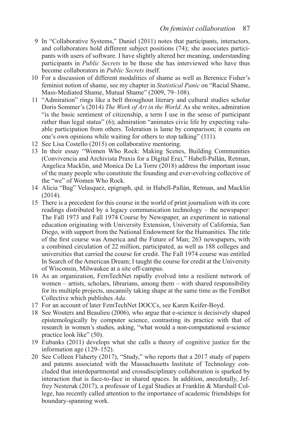- <span id="page-22-0"></span>[9](#page-11-0) In "Collaborative Systems," Daniel (2011) notes that participants, interactors, and collaborators hold different subject positions (74); she associates participants with users of software. I have slightly altered her meaning, understanding participants in *Public Secrets* to be those she has interviewed who have thus become collaborators in *Public Secrets* itself.
- [10](#page-13-0) For a discussion of different modalities of shame as well as Berenice Fisher's feminist notion of shame, see my chapter in *Statistical Panic* on "Racial Shame, Mass-Mediated Shame, Mutual Shame" (2009, 79–108).
- [11](#page-13-0) "Admiration" rings like a bell throughout literary and cultural studies scholar Doris Sommer's (2014) *The Work of Art in the World*. As she writes, admiration "is the basic sentiment of citizenship, a term I use in the sense of participant rather than legal status" (6); admiration "animates civic life by expecting valuable participation from others. Toleration is lame by comparison; it counts on one's own opinions while waiting for others to stop talking" (111).
- [12](#page-13-0) See Lisa Costello (2015) on collaborative mentoring.
- [13](#page-13-0) In their essay "Women Who Rock: Making Scenes, Building Communities (Convivencia and Archivista Praxis for a Digital Era)," Habell-Pallán, Retman, Angelica Macklin, and Monica De La Torre (2018) address the important issue of the many people who constitute the founding and ever-evolving collective of the "we" of Women Who Rock.
- [14](#page-14-0) Alicia "Bag" Velasquez, epigraph, qtd. in Habell-Pallán, Retman, and Macklin (2014).
- [15](#page-15-0) There is a precedent for this course in the world of print journalism with its core readings distributed by a legacy communication technology – the newspaper: The Fall 1973 and Fall 1974 Course by Newspaper, an experiment in national education originating with University Extension, University of California, San Diego, with support from the National Endowment for the Humanities. The title of the frst course was America and the Future of Man; 263 newspapers, with a combined circulation of 22 million, participated, as well as 188 colleges and universities that carried the course for credit. The Fall 1974 course was entitled In Search of the American Dream; I taught the course for credit at the University of Wisconsin, Milwaukee at a site off-campus.
- [16](#page-15-0) As an organization, FemTechNet rapidly evolved into a resilient network of women – artists, scholars, librarians, among them – with shared responsibility for its multiple projects, uncannily taking shape at the same time as the FemBot Collective which publishes *Ada*.
- [17](#page-15-0) For an account of later FemTechNet DOCCs, see Karen Keifer-Boyd.
- [18](#page-17-0) See Wouters and Beaulieu (2006), who argue that e-science is decisively shaped epistemologically by computer science, contrasting its practice with that of research in women's studies, asking, "what would a non-computational e-science practice look like" (50).
- [19](#page-18-0) Eubanks (2011) develops what she calls a theory of cognitive justice for the information age (129–152).
- [20](#page-18-0) See Colleen Flaherty (2017), "Study," who reports that a 2017 study of papers and patents associated with the Massachusetts Institute of Technology concluded that interdepartmental and crossdisciplinary collaboration is sparked by interaction that is face-to-face in shared spaces. In addition, anecdotally, Jeffrey Nesteruk (2017), a professor of Legal Studies at Franklin & Marshall College, has recently called attention to the importance of academic friendships for boundary-spanning work.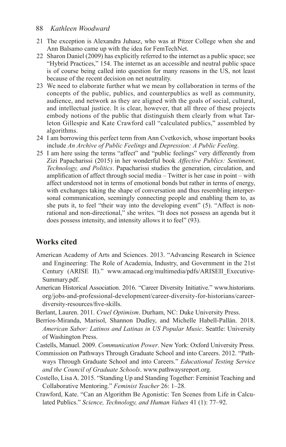#### <span id="page-23-0"></span>88 *Kathleen Woodward*

- [21](#page-19-0) The exception is Alexandra Juhasz, who was at Pitzer College when she and Ann Balsamo came up with the idea for FemTechNet.
- [22](#page-19-0) Sharon Daniel (2009) has explicitly referred to the internet as a public space; see "Hybrid Practices," 154. The internet as an accessible and neutral public space is of course being called into question for many reasons in the US, not least because of the recent decision on net neutrality.
- [23](#page-20-0) We need to elaborate further what we mean by collaboration in terms of the concepts of the public, publics, and counterpublics as well as community, audience, and network as they are aligned with the goals of social, cultural, and intellectual justice. It is clear, however, that all three of these projects embody notions of the public that distinguish them clearly from what Tarleton Gillespie and Kate Crawford call "calculated publics," assembled by algorithms.
- [24](#page-20-0) I am borrowing this perfect term from Ann Cvetkovich, whose important books include *An Archive of Public Feelings* and *Depression: A Public Feeling*.
- [25](#page-20-0) I am here using the terms "affect" and "public feelings" very differently from Zizi Papacharissi (2015) in her wonderful book *Affective Publics: Sentiment, Technology, and Politics*. Papacharissi studies the generation, circulation, and amplifcation of affect through social media – Twitter is her case in point – with affect understood not in terms of emotional bonds but rather in terms of energy, with exchanges taking the shape of conversation and thus resembling interpersonal communication, seemingly connecting people and enabling them to, as she puts it, to feel "their way into the developing event" (5). "Affect is nonrational and non-directional," she writes. "It does not possess an agenda but it does possess intensity, and intensity allows it to feel" (93).

#### **Works cited**

- American Academy of Arts and Sciences. 2013. "Advancing Research in Science and Engineering: The Role of Academia, Industry, and Government in the 21st Century (ARISE II)." [www.amacad.org/multimedia/pdfs/ARISEII\\_Executive](http://www.amacad.org/multimedia/pdfs/ARISEII_ExecutiveSummary.pdf)-[Summary.pdf](http://www.amacad.org/multimedia/pdfs/ARISEII_ExecutiveSummary.pdf).
- American Historical Association. 2016. "Career Diversity Initiative." [www.historians.](http://www.historians.org/jobs-and-professional-development/career-diversity-for-historians/career-diversity-resources/five-skills) [org/jobs-and-professional-development/career-diversity-for-historians/career](http://www.historians.org/jobs-and-professional-development/career-diversity-for-historians/career-diversity-resources/five-skills)[diversity-resources/fve-skills](http://www.historians.org/jobs-and-professional-development/career-diversity-for-historians/career-diversity-resources/five-skills).
- Berlant, Lauren. 2011. *Cruel Optimism*. Durham, NC: Duke University Press.
- Berríos-Miranda, Marisol, Shannon Dudley, and Michelle Habell-Pallán. 2018. *American Sabor: Latinos and Latinas in US Popular Music*. Seattle: University of Washington Press.
- Castells, Manuel. 2009. *Communication Power*. New York: Oxford University Press.
- Commission on Pathways Through Graduate School and into Careers. 2012. "Pathways Through Graduate School and into Careers." *Educational Testing Service and the Council of Graduate Schools*. [www.pathwaysreport.org.](http://www.pathwaysreport.org)
- Costello, Lisa A. 2015. "Standing Up and Standing Together: Feminist Teaching and Collaborative Mentoring." *Feminist Teacher* 26: 1–28.
- Crawford, Kate. "Can an Algorithm Be Agonistic: Ten Scenes from Life in Calculated Publics." *Science, Technology, and Human Values* 41 (1): 77–92.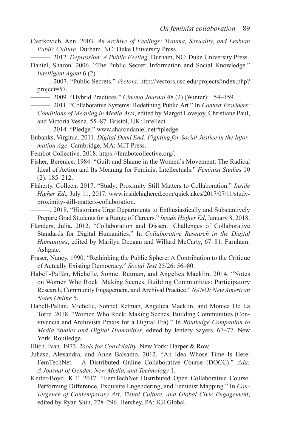- Cvetkovich, Ann. 2003. *An Archive of Feelings: Trauma, Sexuality, and Lesbian Public Culture*. Durham, NC: Duke University Press.
- ———. 2012. *Depression: A Public Feeling*. Durham, NC: Duke University Press.
- Daniel, Sharon. 2006. "The Public Secret: Information and Social Knowledge." *Intelligent Agent* 6 (2).

———. 2007. "Public Secrets." *Vectors*. [http://vectors.usc.edu/projects/index.php?](http://vectors.usc.edu/projects/index.php?project=57) [project=57](http://vectors.usc.edu/projects/index.php?project=57).

———. 2009. "Hybrid Practices." *Cinema Journal* 48 (2) (Winter): 154–159.

———. 2011. "Collaborative Systems: Redefning Public Art." In *Context Providers: Conditions of Meaning in Media Arts*, edited by Margot Lovejoy, Christiane Paul, and Victoria Vesna, 55–87. Bristol, UK: Intellect.

———. 2014. "Pledge." [www.sharondaniel.net/#pledge.](http://www.sharondaniel.net/#pledge)

Eubanks, Virginia. 2011. *Digital Dead End: Fighting for Social Justice in the Information Age*. Cambridge, MA: MIT Press.

Fembot Collective. 2018. [https://fembotcollective.org/.](https://fembotcollective.org/)

- Fisher, Berenice. 1984. "Guilt and Shame in the Women's Movement: The Radical Ideal of Action and Its Meaning for Feminist Intellectuals." *Feminist Studies* 10 (2): 185–212.
- Flaherty, Colleen. 2017. "Study: Proximity Still Matters to Collaboration." *Inside Higher Ed*., July 11, 2017. [www.insidehighered.com/quicktakes/2017/07/11/study](http://www.insidehighered.com/quicktakes/2017/07/11/study-proximity-still-matters-collaboration)[proximity-still-matters-collaboration](http://www.insidehighered.com/quicktakes/2017/07/11/study-proximity-still-matters-collaboration).

———. 2018. "Historians Urge Departments to Enthusiastically and Substantively Prepare Grad Students for a Range of Careers." *Inside Higher Ed*, January 8, 2018.

Flanders, Julia. 2012. "Collaboration and Dissent: Challenges of Collaborative Standards for Digital Humanities." In *Collaborative Research in the Digital Humanities*, edited by Marilyn Deegan and Willard McCarty, 67–81. Farnham: Ashgate.

- Fraser, Nancy. 1990. "Rethinking the Public Sphere: A Contribution to the Critique of Actually Existing Democracy." *Social Text* 25/26: 56–80.
- Habell-Pallán, Michelle, Sonnet Retman, and Angelica Macklin. 2014. "Notes on Women Who Rock: Making Scenes, Building Communities: Participatory Research, Community Engagement, and Archival Practice." *NANO: New American Notes Online* 5.
- Habell-Pallán, Michelle, Sonnet Retman, Angelica Macklin, and Monica De La Torre. 2018. "Women Who Rock: Making Scenes, Building Communities (Convivencia and Archivista Praxis for a Digital Era)." In *Routledge Companion to Media Studies and Digital Humanities*, edited by Jentery Sayers, 67–77. New York: Routledge.
- Illich, Ivan. 1973. *Tools for Conviviality*. New York: Harper & Row.
- Juhasz, Alexandra, and Anne Balsamo. 2012. "An Idea Whose Time Is Here: FemTechNet – A Distributed Online Collaborative Course (DOCC)." *Ada: A Journal of Gender, New Media, and Technology* 1.
- Keifer-Boyd, K.T. 2017. "FemTechNet Distributed Open Collaborative Course: Performing Difference, Exquisite Engendering, and Feminist Mapping." In *Convergence of Contemporary Art, Visual Culture, and Global Civic Engagement*, edited by Ryan Shin, 278–296. Hershey, PA: IGI Global.